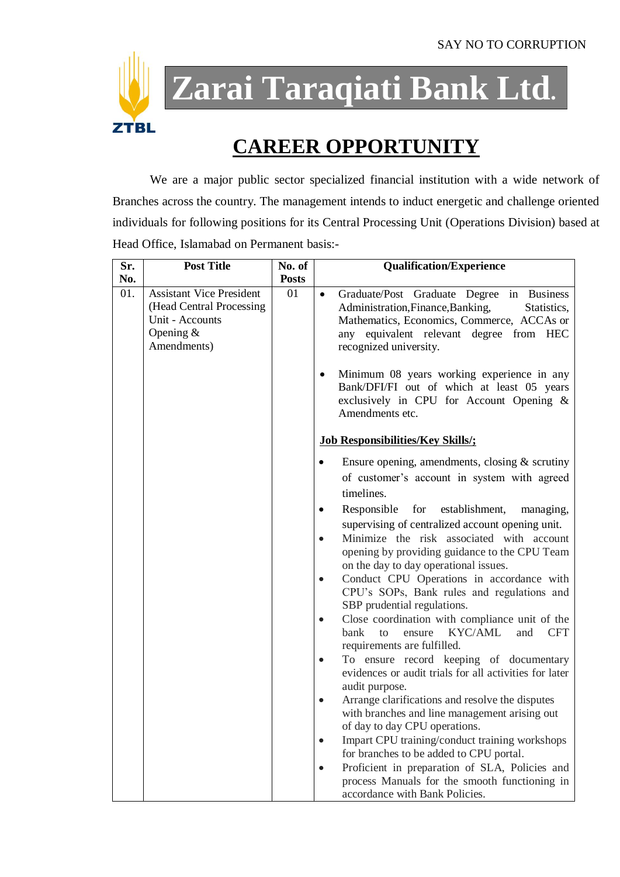

**Zarai Taraqiati Bank Ltd.**

## **CAREER OPPORTUNITY**

We are a major public sector specialized financial institution with a wide network of Branches across the country. The management intends to induct energetic and challenge oriented individuals for following positions for its Central Processing Unit (Operations Division) based at Head Office, Islamabad on Permanent basis:-

| Sr. | <b>Post Title</b>                                                                                            | No. of       |           | <b>Qualification/Experience</b>                                                                                                                                                                                     |
|-----|--------------------------------------------------------------------------------------------------------------|--------------|-----------|---------------------------------------------------------------------------------------------------------------------------------------------------------------------------------------------------------------------|
| No. |                                                                                                              | <b>Posts</b> |           |                                                                                                                                                                                                                     |
| 01. | <b>Assistant Vice President</b><br>(Head Central Processing<br>Unit - Accounts<br>Opening $&$<br>Amendments) | 01           | $\bullet$ | Graduate/Post Graduate Degree in Business<br>Administration, Finance, Banking,<br>Statistics,<br>Mathematics, Economics, Commerce, ACCAs or<br>any equivalent relevant degree<br>from HEC<br>recognized university. |
|     |                                                                                                              |              | $\bullet$ | Minimum 08 years working experience in any<br>Bank/DFI/FI out of which at least 05 years<br>exclusively in CPU for Account Opening &<br>Amendments etc.                                                             |
|     |                                                                                                              |              |           | <b>Job Responsibilities/Key Skills/;</b>                                                                                                                                                                            |
|     |                                                                                                              |              |           | Ensure opening, amendments, closing $&$ scrutiny<br>of customer's account in system with agreed<br>timelines.                                                                                                       |
|     |                                                                                                              |              | $\bullet$ | establishment,<br>Responsible<br>for<br>managing,                                                                                                                                                                   |
|     |                                                                                                              |              |           | supervising of centralized account opening unit.                                                                                                                                                                    |
|     |                                                                                                              |              | $\bullet$ | Minimize the risk associated with account<br>opening by providing guidance to the CPU Team<br>on the day to day operational issues.                                                                                 |
|     |                                                                                                              |              |           | Conduct CPU Operations in accordance with<br>CPU's SOPs, Bank rules and regulations and<br>SBP prudential regulations.                                                                                              |
|     |                                                                                                              |              | $\bullet$ | Close coordination with compliance unit of the                                                                                                                                                                      |
|     |                                                                                                              |              |           | KYC/AML<br>and<br><b>CFT</b><br>bank<br>to<br>ensure<br>requirements are fulfilled.                                                                                                                                 |
|     |                                                                                                              |              |           | To ensure record keeping of documentary                                                                                                                                                                             |
|     |                                                                                                              |              |           | evidences or audit trials for all activities for later<br>audit purpose.                                                                                                                                            |
|     |                                                                                                              |              | $\bullet$ | Arrange clarifications and resolve the disputes                                                                                                                                                                     |
|     |                                                                                                              |              |           | with branches and line management arising out                                                                                                                                                                       |
|     |                                                                                                              |              |           | of day to day CPU operations.                                                                                                                                                                                       |
|     |                                                                                                              |              | $\bullet$ | Impart CPU training/conduct training workshops<br>for branches to be added to CPU portal.                                                                                                                           |
|     |                                                                                                              |              | $\bullet$ | Proficient in preparation of SLA, Policies and                                                                                                                                                                      |
|     |                                                                                                              |              |           | process Manuals for the smooth functioning in<br>accordance with Bank Policies.                                                                                                                                     |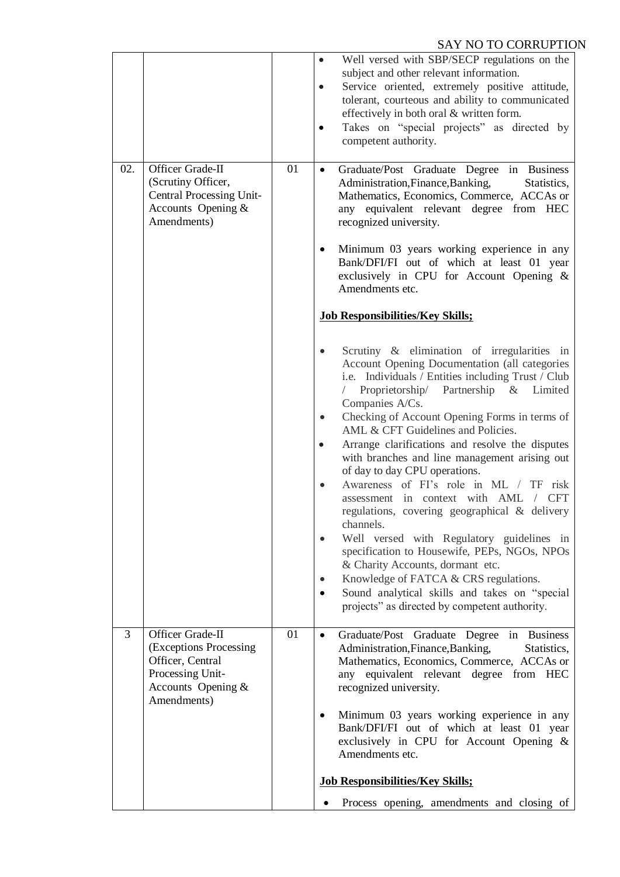## SAY NO TO CORRUPTION

|     |                                                                                                                            |    | Well versed with SBP/SECP regulations on the<br>$\bullet$<br>subject and other relevant information.<br>Service oriented, extremely positive attitude,<br>$\bullet$<br>tolerant, courteous and ability to communicated<br>effectively in both oral & written form.<br>Takes on "special projects" as directed by<br>$\bullet$<br>competent authority.                                                                                                                                                                                                                                                                                                                                                                                                                                                                                                                                                                                                                      |
|-----|----------------------------------------------------------------------------------------------------------------------------|----|----------------------------------------------------------------------------------------------------------------------------------------------------------------------------------------------------------------------------------------------------------------------------------------------------------------------------------------------------------------------------------------------------------------------------------------------------------------------------------------------------------------------------------------------------------------------------------------------------------------------------------------------------------------------------------------------------------------------------------------------------------------------------------------------------------------------------------------------------------------------------------------------------------------------------------------------------------------------------|
| 02. | Officer Grade-II<br>(Scrutiny Officer,<br>Central Processing Unit-<br>Accounts Opening &<br>Amendments)                    | 01 | Graduate/Post Graduate Degree in Business<br>$\bullet$<br>Administration, Finance, Banking,<br>Statistics,<br>Mathematics, Economics, Commerce, ACCAs or<br>any equivalent relevant degree from HEC<br>recognized university.<br>Minimum 03 years working experience in any                                                                                                                                                                                                                                                                                                                                                                                                                                                                                                                                                                                                                                                                                                |
|     |                                                                                                                            |    | Bank/DFI/FI out of which at least 01 year<br>exclusively in CPU for Account Opening &<br>Amendments etc.                                                                                                                                                                                                                                                                                                                                                                                                                                                                                                                                                                                                                                                                                                                                                                                                                                                                   |
|     |                                                                                                                            |    | <b>Job Responsibilities/Key Skills;</b>                                                                                                                                                                                                                                                                                                                                                                                                                                                                                                                                                                                                                                                                                                                                                                                                                                                                                                                                    |
|     |                                                                                                                            |    | Scrutiny & elimination of irregularities in<br>$\bullet$<br>Account Opening Documentation (all categories<br>i.e. Individuals / Entities including Trust / Club<br>Proprietorship/ Partnership & Limited<br>Companies A/Cs.<br>Checking of Account Opening Forms in terms of<br>$\bullet$<br>AML & CFT Guidelines and Policies.<br>Arrange clarifications and resolve the disputes<br>$\bullet$<br>with branches and line management arising out<br>of day to day CPU operations.<br>Awareness of FI's role in ML / TF risk<br>$\bullet$<br>assessment in context with AML<br><b>CFT</b><br>$\sqrt{2}$<br>regulations, covering geographical & delivery<br>channels.<br>Well versed with Regulatory guidelines in<br>specification to Housewife, PEPs, NGOs, NPOs<br>& Charity Accounts, dormant etc.<br>Knowledge of FATCA & CRS regulations.<br>$\bullet$<br>Sound analytical skills and takes on "special<br>$\bullet$<br>projects" as directed by competent authority. |
| 3   | Officer Grade-II<br>(Exceptions Processing)<br>Officer, Central<br>Processing Unit-<br>Accounts Opening $&$<br>Amendments) | 01 | Graduate/Post Graduate Degree in Business<br>$\bullet$<br>Administration, Finance, Banking,<br>Statistics,<br>Mathematics, Economics, Commerce, ACCAs or<br>any equivalent relevant degree from HEC<br>recognized university.<br>Minimum 03 years working experience in any<br>$\bullet$<br>Bank/DFI/FI out of which at least 01 year<br>exclusively in CPU for Account Opening &<br>Amendments etc.                                                                                                                                                                                                                                                                                                                                                                                                                                                                                                                                                                       |
|     |                                                                                                                            |    | <b>Job Responsibilities/Key Skills;</b>                                                                                                                                                                                                                                                                                                                                                                                                                                                                                                                                                                                                                                                                                                                                                                                                                                                                                                                                    |
|     |                                                                                                                            |    | Process opening, amendments and closing of                                                                                                                                                                                                                                                                                                                                                                                                                                                                                                                                                                                                                                                                                                                                                                                                                                                                                                                                 |
|     |                                                                                                                            |    |                                                                                                                                                                                                                                                                                                                                                                                                                                                                                                                                                                                                                                                                                                                                                                                                                                                                                                                                                                            |